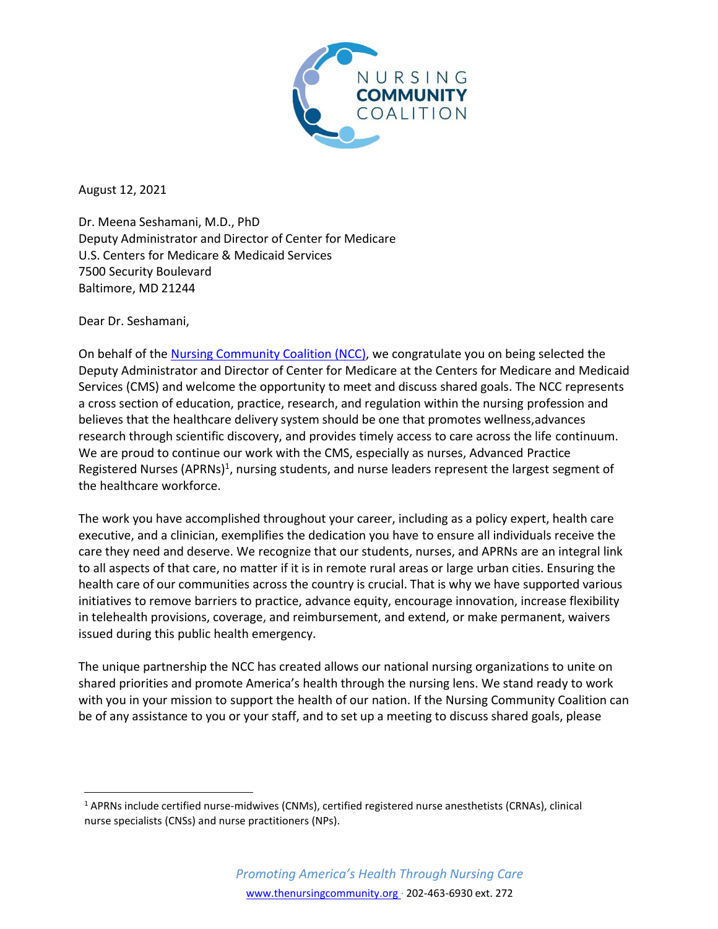

August 12, 2021

Dr. Meena Seshamani, M.D., PhD Deputy Administrator and Director of Center for Medicare U.S. Centers for Medicare & Medicaid Services 7500 Security Boulevard Baltimore, MD 21244

Dear Dr. Seshamani,

On behalf of th[e Nursing Community Coalition \(NCC\), w](https://www.thenursingcommunity.org/)e congratulate you on being selected the Deputy Administrator and Director of Center for Medicare at the Centers for Medicare and Medicaid Services (CMS) and welcome the opportunity to meet and discuss shared goals. The NCC represents a cross section of education, practice, research, and regulation within the nursing profession and believes that the healthcare delivery system should be one that promotes wellness,advances research through scientific discovery, and provides timely access to care across the life continuum. We are proud to continue our work with the CMS, especially as nurses, Advanced Practice Registered Nurses (APRNs)<sup>1</sup>, nursing students, and nurse leaders represent the largest segment of the healthcare workforce.

The work you have accomplished throughout your career, including as a policy expert, health care executive, and a clinician, exemplifies the dedication you have to ensure all individuals receive the care they need and deserve. We recognize that our students, nurses, and APRNs are an integral link to all aspects of that care, no matter if it is in remote rural areas or large urban cities. Ensuring the health care of our communities across the country is crucial. That is why we have supported various initiatives to remove barriers to practice, advance equity, encourage innovation, increase flexibility in telehealth provisions, coverage, and reimbursement, and extend, or make permanent, waivers issued during this public health emergency.

The unique partnership the NCC has created allows our national nursing organizations to unite on shared priorities and promote America's health through the nursing lens. We stand ready to work with you in your mission to support the health of our nation. If the Nursing Community Coalition can be of any assistance to you or your staff, and to set up a meeting to discuss shared goals, please

<sup>1</sup> APRNs include certified nurse-midwives (CNMs), certified registered nurse anesthetists (CRNAs), clinical nurse specialists (CNSs) and nurse practitioners (NPs).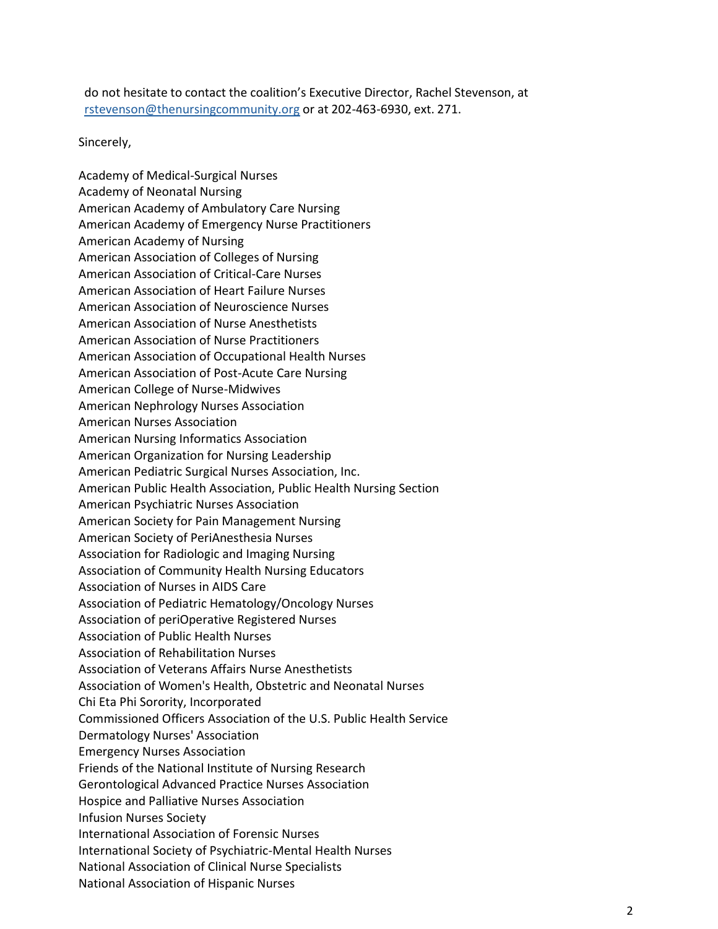do not hesitate to contact the coalition's Executive Director, Rachel Stevenson, at [rstevenson@thenursingcommunity.org](mailto:rstevenson@thenursingcommunity.org) or at 202-463-6930, ext. 271.

Sincerely,

Academy of Medical-Surgical Nurses Academy of Neonatal Nursing American Academy of Ambulatory Care Nursing American Academy of Emergency Nurse Practitioners American Academy of Nursing American Association of Colleges of Nursing American Association of Critical-Care Nurses American Association of Heart Failure Nurses American Association of Neuroscience Nurses American Association of Nurse Anesthetists American Association of Nurse Practitioners American Association of Occupational Health Nurses American Association of Post-Acute Care Nursing American College of Nurse-Midwives American Nephrology Nurses Association American Nurses Association American Nursing Informatics Association American Organization for Nursing Leadership American Pediatric Surgical Nurses Association, Inc. American Public Health Association, Public Health Nursing Section American Psychiatric Nurses Association American Society for Pain Management Nursing American Society of PeriAnesthesia Nurses Association for Radiologic and Imaging Nursing Association of Community Health Nursing Educators Association of Nurses in AIDS Care Association of Pediatric Hematology/Oncology Nurses Association of periOperative Registered Nurses Association of Public Health Nurses Association of Rehabilitation Nurses Association of Veterans Affairs Nurse Anesthetists Association of Women's Health, Obstetric and Neonatal Nurses Chi Eta Phi Sorority, Incorporated Commissioned Officers Association of the U.S. Public Health Service Dermatology Nurses' Association Emergency Nurses Association Friends of the National Institute of Nursing Research Gerontological Advanced Practice Nurses Association Hospice and Palliative Nurses Association Infusion Nurses Society International Association of Forensic Nurses International Society of Psychiatric-Mental Health Nurses National Association of Clinical Nurse Specialists National Association of Hispanic Nurses